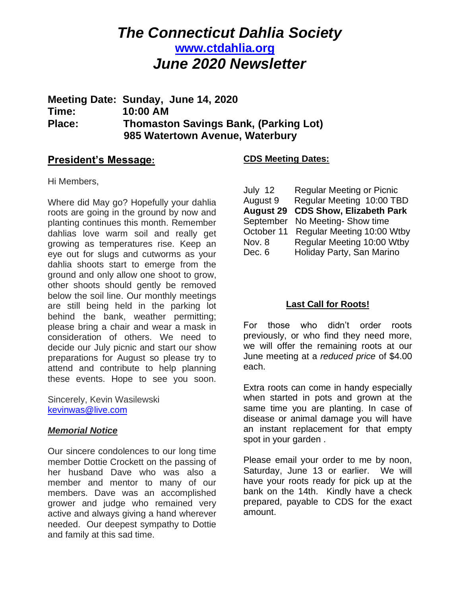# *The Connecticut Dahlia Society* **[www.ctdahlia.org](http://www.ctdahlia.org/)** *June 2020 Newsletter*

# **Meeting Date: Sunday, June 14, 2020 Time: 10:00 AM Place: Thomaston Savings Bank, (Parking Lot) 985 Watertown Avenue, Waterbury**

### **President's Message:**

### Hi Members,

Where did May go? Hopefully your dahlia roots are going in the ground by now and planting continues this month. Remember dahlias love warm soil and really get growing as temperatures rise. Keep an eye out for slugs and cutworms as your dahlia shoots start to emerge from the ground and only allow one shoot to grow, other shoots should gently be removed below the soil line. Our monthly meetings are still being held in the parking lot behind the bank, weather permitting; please bring a chair and wear a mask in consideration of others. We need to decide our July picnic and start our show preparations for August so please try to attend and contribute to help planning these events. Hope to see you soon.

Sincerely, Kevin Wasilewski [kevinwas@live.com](mailto:kevinwas@live.com)

#### *Memorial Notice*

Our sincere condolences to our long time member Dottie Crockett on the passing of her husband Dave who was also a member and mentor to many of our members. Dave was an accomplished grower and judge who remained very active and always giving a hand wherever needed. Our deepest sympathy to Dottie and family at this sad time.

### **CDS Meeting Dates:**

| July 12          | <b>Regular Meeting or Picnic</b> |
|------------------|----------------------------------|
| August 9         | Regular Meeting 10:00 TBD        |
| <b>August 29</b> | <b>CDS Show, Elizabeth Park</b>  |
| September        | No Meeting-Show time             |
| October 11       | Regular Meeting 10:00 Wtby       |
| Nov. 8           | Regular Meeting 10:00 Wtby       |
| Dec. 6           | Holiday Party, San Marino        |

### **Last Call for Roots!**

For those who didn't order roots previously, or who find they need more, we will offer the remaining roots at our June meeting at a *reduced price* of \$4.00 each.

Extra roots can come in handy especially when started in pots and grown at the same time you are planting. In case of disease or animal damage you will have an instant replacement for that empty spot in your garden .

Please email your order to me by noon, Saturday, June 13 or earlier. We will have your roots ready for pick up at the bank on the 14th. Kindly have a check prepared, payable to CDS for the exact amount.